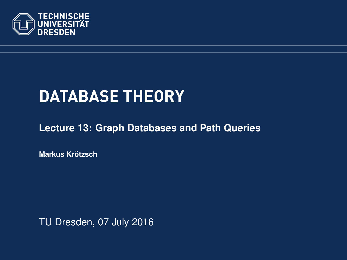<span id="page-0-0"></span>

# **DATABASE THEORY**

**[Lecture 13: Graph Databases and Path Queries](https://ddll.inf.tu-dresden.de/web/Database_Theory_%28SS2016%29/en)**

**[Markus Krotzsch](http://korrekt.org/) ¨**

TU Dresden, 07 July 2016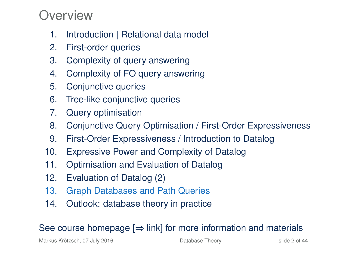#### Overview

- 1. Introduction | Relational data model
- 2. First-order queries
- 3. Complexity of query answering
- 4. Complexity of FO query answering
- 5. Conjunctive queries
- 6. Tree-like conjunctive queries
- 7. Query optimisation
- 8. Conjunctive Query Optimisation / First-Order Expressiveness
- 9. First-Order Expressiveness / Introduction to Datalog
- 10. Expressive Power and Complexity of Datalog
- 11. Optimisation and Evaluation of Datalog
- 12. Evaluation of Datalog (2)
- 13. Graph Databases and Path Queries
- 14. Outlook: database theory in practice

#### See course homepage  $[\Rightarrow]$  link] for more information and materials

Markus Krötzsch, 07 July 2016 **[Database Theory](#page-0-0)** Database Theory slide 2 of 44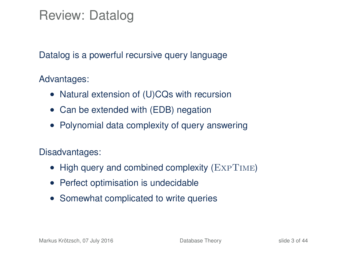Review: Datalog

Datalog is a powerful recursive query language

Advantages:

- Natural extension of (U)CQs with recursion
- Can be extended with (EDB) negation
- Polynomial data complexity of query answering

Disadvantages:

- High query and combined complexity (EXPTIME)
- Perfect optimisation is undecidable
- Somewhat complicated to write queries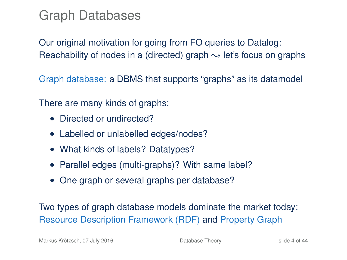### Graph Databases

Our original motivation for going from FO queries to Datalog: Reachability of nodes in a (directed) graph  $\rightarrow$  let's focus on graphs

Graph database: a DBMS that supports "graphs" as its datamodel

There are many kinds of graphs:

- Directed or undirected?
- Labelled or unlabelled edges/nodes?
- What kinds of labels? Datatypes?
- Parallel edges (multi-graphs)? With same label?
- One graph or several graphs per database?

Two types of graph database models dominate the market today: Resource Description Framework (RDF) and Property Graph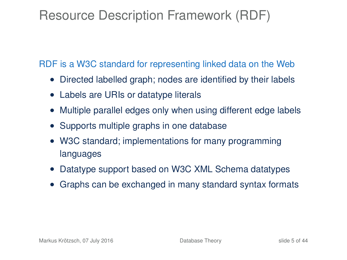## Resource Description Framework (RDF)

RDF is a W3C standard for representing linked data on the Web

- Directed labelled graph; nodes are identified by their labels
- Labels are URIs or datatype literals
- Multiple parallel edges only when using different edge labels
- Supports multiple graphs in one database
- W3C standard; implementations for many programming languages
- Datatype support based on W3C XML Schema datatypes
- Graphs can be exchanged in many standard syntax formats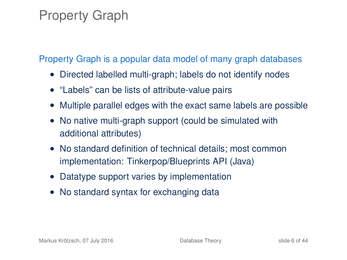### Property Graph

Property Graph is a popular data model of many graph databases

- Directed labelled multi-graph; labels do not identify nodes
- "Labels" can be lists of attribute-value pairs
- Multiple parallel edges with the exact same labels are possible
- No native multi-graph support (could be simulated with additional attributes)
- No standard definition of technical details: most common implementation: Tinkerpop/Blueprints API (Java)
- Datatype support varies by implementation
- No standard syntax for exchanging data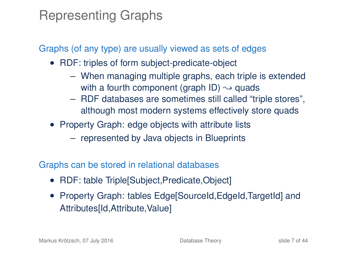### Representing Graphs

Graphs (of any type) are usually viewed as sets of edges

- RDF: triples of form subject-predicate-object
	- When managing multiple graphs, each triple is extended with a fourth component (graph ID)  $\rightarrow$  quads
	- RDF databases are sometimes still called "triple stores", although most modern systems effectively store quads
- Property Graph: edge objects with attribute lists
	- represented by Java objects in Blueprints

Graphs can be stored in relational databases

- RDF: table Triple[Subject, Predicate, Object]
- Property Graph: tables Edge[SourceId, EdgeId, TargetId] and Attributes[Id,Attribute,Value]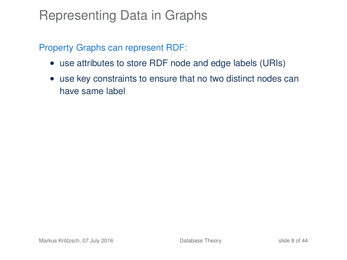### Representing Data in Graphs

Property Graphs can represent RDF:

- use attributes to store RDF node and edge labels (URIs)
- use key constraints to ensure that no two distinct nodes can have same label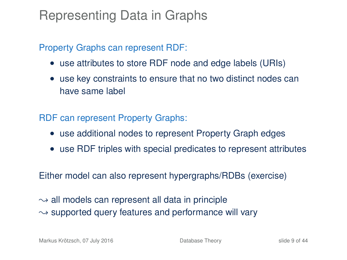### Representing Data in Graphs

#### Property Graphs can represent RDF:

- use attributes to store RDF node and edge labels (URIs)
- use key constraints to ensure that no two distinct nodes can have same label

RDF can represent Property Graphs:

- use additional nodes to represent Property Graph edges
- use RDF triples with special predicates to represent attributes

Either model can also represent hypergraphs/RDBs (exercise)

 $\rightarrow$  all models can represent all data in principle  $\sim$  supported query features and performance will vary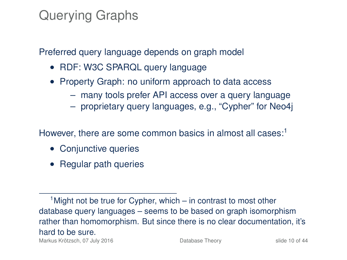## Querying Graphs

Preferred query language depends on graph model

- RDF: W3C SPARQL query language
- Property Graph: no uniform approach to data access
	- many tools prefer API access over a query language
	- proprietary query languages, e.g., "Cypher" for Neo4j

However, there are some common basics in almost all cases: $1$ 

- Conjunctive queries
- Regular path queries

 $<sup>1</sup>$  Might not be true for Cypher, which – in contrast to most other</sup> database query languages – seems to be based on graph isomorphism rather than homomorphism. But since there is no clear documentation, it's hard to be sure. Markus Krötzsch, 07 July 2016 **[Database Theory](#page-0-0)** Slide 10 of 44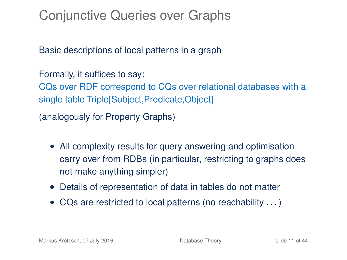Conjunctive Queries over Graphs

Basic descriptions of local patterns in a graph

Formally, it suffices to say: CQs over RDF correspond to CQs over relational databases with a single table Triple[Subject,Predicate,Object]

(analogously for Property Graphs)

- All complexity results for query answering and optimisation carry over from RDBs (in particular, restricting to graphs does not make anything simpler)
- Details of representation of data in tables do not matter
- CQs are restricted to local patterns (no reachability . . . )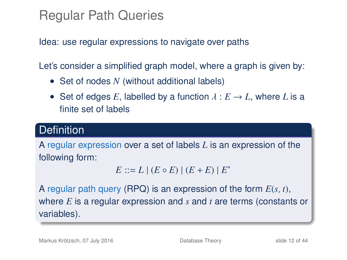## Regular Path Queries

Idea: use regular expressions to navigate over paths

Let's consider a simplified graph model, where a graph is given by:

- Set of nodes *N* (without additional labels)
- Set of edges *E*, labelled by a function  $\lambda : E \to L$ , where *L* is a finite set of labels

#### **Definition**

A regular expression over a set of labels *L* is an expression of the following form:

 $E := L | (E \circ E) | (E + E) | E^*$ 

A regular path query (RPQ) is an expression of the form *E*(*s*, *t*), where *E* is a regular expression and *s* and *t* are terms (constants or variables).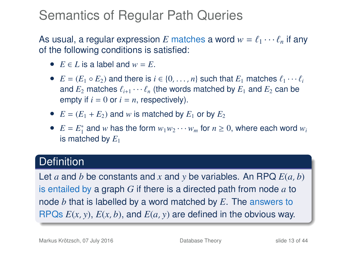### Semantics of Regular Path Queries

As usual, a regular expression *E* matches a word  $w = \ell_1 \cdots \ell_n$  if any of the following conditions is satisfied:

- $E \in L$  is a label and  $w = E$ .
- $E = (E_1 \circ E_2)$  and there is  $i \in \{0, \ldots, n\}$  such that  $E_1$  matches  $\ell_1 \cdots \ell_i$ and  $E_2$  matches  $\ell_{i+1} \cdots \ell_n$  (the words matched by  $E_1$  and  $E_2$  can be empty if  $i = 0$  or  $i = n$ , respectively).
- $E = (E_1 + E_2)$  and *w* is matched by  $E_1$  or by  $E_2$
- $E = E_1^*$  and *w* has the form  $w_1w_2 \cdots w_m$  for  $n \ge 0$ , where each word  $w_i$ is matched by  $E_1$

#### **Definition**

Let *a* and *b* be constants and *x* and *y* be variables. An RPQ *E*(*a*, *b*) is entailed by a graph *G* if there is a directed path from node *a* to node *b* that is labelled by a word matched by *E*. The answers to RPQs *E*(*x*, *y*), *E*(*x*, *b*), and *E*(*a*, *y*) are defined in the obvious way.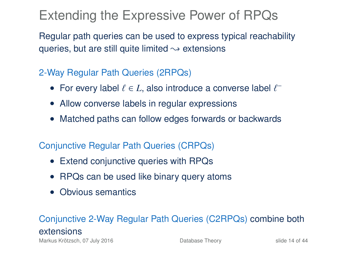## Extending the Expressive Power of RPQs

Regular path queries can be used to express typical reachability queries, but are still quite limited  $\rightarrow$  extensions

#### 2-Way Regular Path Queries (2RPQs)

- For every label  $\ell \in L$ , also introduce a converse label  $\ell^-$
- Allow converse labels in regular expressions
- Matched paths can follow edges forwards or backwards

#### Conjunctive Regular Path Queries (CRPQs)

- Extend conjunctive queries with RPQs
- RPQs can be used like binary query atoms
- Obvious semantics

#### Conjunctive 2-Way Regular Path Queries (C2RPQs) combine both extensions

Markus Krötzsch, 07 July 2016 **[Database Theory](#page-0-0)** Slide 14 of 44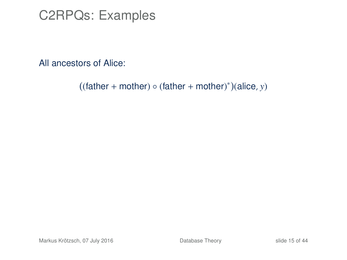#### C2RPQs: Examples

All ancestors of Alice:

 $((\text{father} + \text{mother}) \circ (\text{father} + \text{mother})^*)(\text{alice}, y)$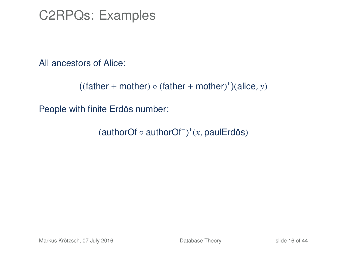C2RPQs: Examples

All ancestors of Alice:

```
((\text{father} + \text{mother}) \circ (\text{father} + \text{mother})^*)(\text{alice}, y)
```
People with finite Erdös number:

(authorOf ◦ authorOf<sup>−</sup> ) ∗ (*x*, paulErdös)

Markus Krötzsch, 07 July 2016 **[Database Theory](#page-0-0)** Slide 16 of 44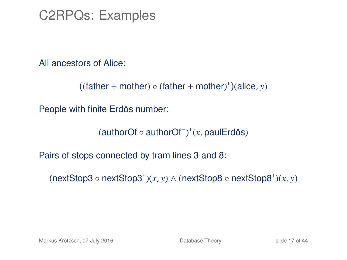C2RPQs: Examples

All ancestors of Alice:

 $((\text{father} + \text{mother}) \circ (\text{father} + \text{mother})^*)(\text{alice}, y)$ 

People with finite Erdös number:

(authorOf ◦ authorOf<sup>−</sup> ) ∗ (*x*, paulErdös)

Pairs of stops connected by tram lines 3 and 8:

(nextStop3 ◦ nextStop3<sup>∗</sup> )(*x*, *y*) ∧ (nextStop8 ◦ nextStop8<sup>∗</sup> )(*x*, *y*)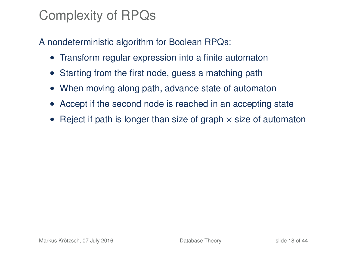## Complexity of RPQs

A nondeterministic algorithm for Boolean RPQs:

- Transform regular expression into a finite automaton
- Starting from the first node, guess a matching path
- When moving along path, advance state of automaton
- Accept if the second node is reached in an accepting state
- Reject if path is longer than size of graph  $\times$  size of automaton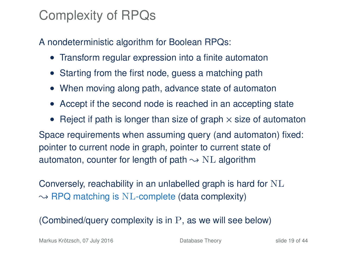## Complexity of RPQs

A nondeterministic algorithm for Boolean RPQs:

- Transform regular expression into a finite automaton
- Starting from the first node, guess a matching path
- When moving along path, advance state of automaton
- Accept if the second node is reached in an accepting state
- Reject if path is longer than size of graph  $\times$  size of automaton Space requirements when assuming query (and automaton) fixed: pointer to current node in graph, pointer to current state of automaton, counter for length of path  $\sim$  NL algorithm

Conversely, reachability in an unlabelled graph is hard for NL  $\rightarrow$  RPQ matching is NL-complete (data complexity)

(Combined/query complexity is in P, as we will see below)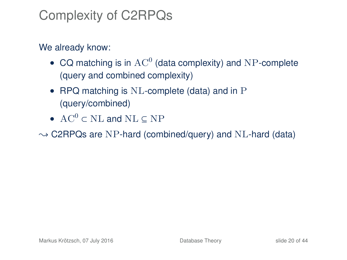## Complexity of C2RPQs

#### We already know:

- CQ matching is in  $AC^0$  (data complexity) and NP-complete (query and combined complexity)
- RPQ matching is NL-complete (data) and in P (query/combined)
- AC<sup>0</sup>  $\subset$  NL and NL  $\subset$  NP

 $\rightarrow$  C2RPQs are NP-hard (combined/query) and NL-hard (data)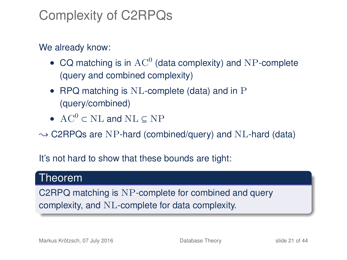## Complexity of C2RPQs

#### We already know:

- CQ matching is in  $AC^0$  (data complexity) and NP-complete (query and combined complexity)
- RPQ matching is NL-complete (data) and in P (query/combined)
- AC<sup>0</sup>  $\subset$  NL and NL  $\subset$  NP

 $\rightarrow$  C2RPQs are NP-hard (combined/query) and NL-hard (data)

It's not hard to show that these bounds are tight:

#### Theorem

C2RPQ matching is NP-complete for combined and query complexity, and NL-complete for data complexity.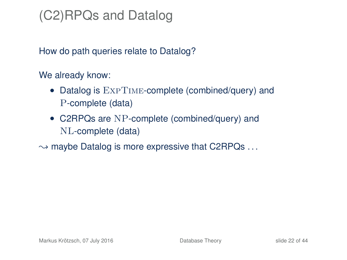## (C2)RPQs and Datalog

How do path queries relate to Datalog?

We already know:

- Datalog is  $\text{ExPTIME-complete}$  (combined/query) and P-complete (data)
- C2RPQs are NP-complete (combined/query) and NL-complete (data)
- $\rightarrow$  maybe Datalog is more expressive that C2RPQs  $\dots$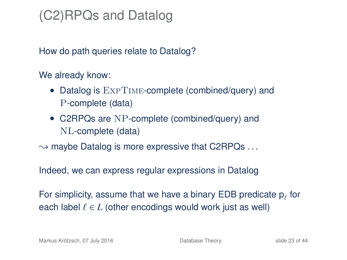## (C2)RPQs and Datalog

How do path queries relate to Datalog?

We already know:

- Datalog is  $\text{ExPTIME-complete}$  (combined/query) and P-complete (data)
- C2RPQs are NP-complete (combined/query) and NL-complete (data)
- $\rightarrow$  maybe Datalog is more expressive that C2RPQs  $\dots$

Indeed, we can express regular expressions in Datalog

For simplicity, assume that we have a binary EDB predicate  $p_f$  for each label  $\ell \in L$  (other encodings would work just as well)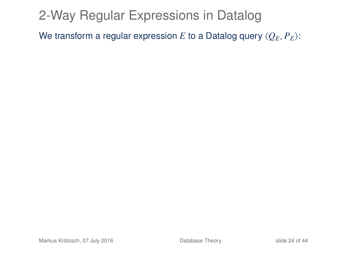## 2-Way Regular Expressions in Datalog

We transform a regular expression *E* to a Datalog query  $\langle Q_E, P_E \rangle$ :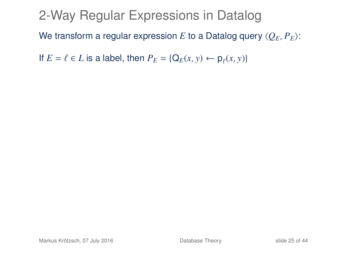### 2-Way Regular Expressions in Datalog

We transform a regular expression *E* to a Datalog query  $\langle O_F, P_F \rangle$ :

If  $E = \ell \in L$  is a label, then  $P_E = \{Q_E(x, y) \leftarrow \rho_\ell(x, y)\}$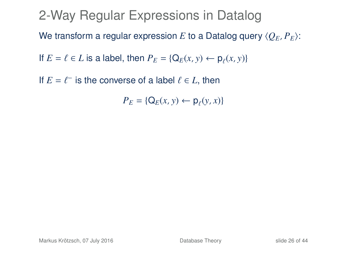If  $E = \ell^-$  is the converse of a label  $\ell \in L$ , then

 $P_E = \{ Q_E(x, y) \leftarrow p_\ell(y, x) \}$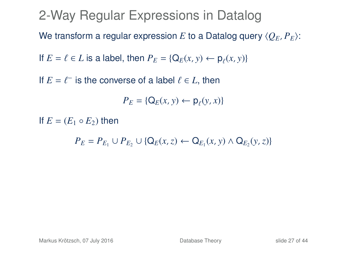If  $E = \ell^-$  is the converse of a label  $\ell \in L$ , then

$$
P_E = \{ \mathsf{Q}_E(x, y) \leftarrow \mathsf{p}_\ell(y, x) \}
$$

If  $E = (E_1 \circ E_2)$  then

*P*<sub>*E*</sub> = *P*<sub>*E*<sub>1</sub></sub> ∪ *P*<sub>*E*<sub>2</sub></sub> ∪ {Q<sub>*E*</sub>(*x*, *z*) ← Q<sub>*E*<sub>1</sub></sub>(*x*, *y*) ∧ Q<sub>*E*<sub>2</sub></sub>(*y*, *z*)}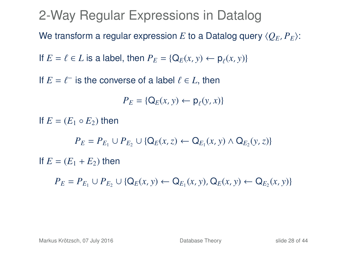If  $E = \ell^-$  is the converse of a label  $\ell \in L$ , then

 $P_E = \{ Q_E(x, y) \leftarrow p_\ell(y, x) \}$ 

If  $E = (E_1 \circ E_2)$  then

*P*<sub>*E*</sub> = *P*<sub>*E*<sub>1</sub></sub> ∪ *P*<sub>*E*<sub>2</sub></sub> ∪ {Q<sub>*E*</sub>(*x*, *z*) ← Q<sub>*E*<sub>1</sub></sub>(*x*, *y*) ∧ Q<sub>*E*<sub>2</sub></sub>(*y*, *z*)}

If  $E = (E_1 + E_2)$  then

*P*<sub>*E*</sub> = *P*<sub>*E*1</sub></sub> ∪ *P*<sub>*E*<sub>2</sub></sub> ∪ {Q<sub>*E*</sub>(*x*, *y*) ← Q<sub>*E*<sub>1</sub></sub>(*x*, *y*), Q<sub>*E*</sub>(*x*, *y*) ← Q<sub>*E*<sub>2</sub></sub>(*x*, *y*)}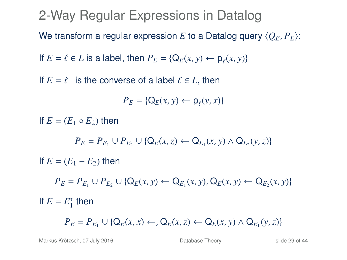If  $E = \ell^-$  is the converse of a label  $\ell \in L$ , then

 $P_E = \{ Q_E(x, y) \leftarrow p_\ell(y, x) \}$ 

If  $E = (E_1 \circ E_2)$  then

*P*<sub>*E*</sub> = *P*<sub>*E*<sub>1</sub></sub> ∪ *P*<sub>*E*<sub>2</sub></sub> ∪ {Q<sub>*E*</sub>(*x*, *z*) ← Q<sub>*E*<sub>1</sub></sub>(*x*, *y*) ∧ Q<sub>*E*<sub>2</sub></sub>(*y*, *z*)}

If  $E = (E_1 + E_2)$  then

*P*<sub>*E*</sub> = *P*<sub>*E*1</sub></sub> ∪ *P*<sub>*E*<sub>2</sub></sub> ∪ {Q<sub>*E*</sub>(*x*, *y*) ← Q<sub>*E*<sub>1</sub></sub>(*x*, *y*), Q<sub>*E*</sub>(*x*, *y*) ← Q<sub>*E*<sub>2</sub></sub>(*x*, *y*)} If  $E = E_1^*$  then

*P*<sub>*E*</sub> = *P*<sub>*E*<sub>1</sub></sub> ∪ {Q<sub>*E*</sub>(*x*, *x*) ←, Q<sub>*E*</sub>(*x*, *z*) ← Q<sub>*E*</sub>(*x*, *y*) ∧ Q<sub>*E*<sub>1</sub></sub>(*y*, *z*)}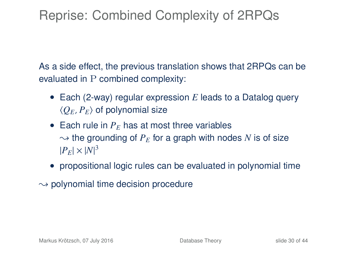## Reprise: Combined Complexity of 2RPQs

As a side effect, the previous translation shows that 2RPQs can be evaluated in P combined complexity:

- Each (2-way) regular expression *E* leads to a Datalog query  $\langle Q_E, P_E \rangle$  of polynomial size
- Each rule in  $P<sub>F</sub>$  has at most three variables  $\sim$  the grounding of  $P_E$  for a graph with nodes N is of size  $|P_E| \times |N|^3$
- propositional logic rules can be evaluated in polynomial time
- $\rightarrow$  polynomial time decision procedure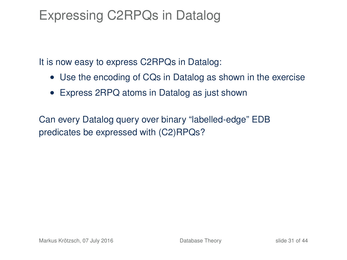### Expressing C2RPQs in Datalog

It is now easy to express C2RPQs in Datalog:

- Use the encoding of CQs in Datalog as shown in the exercise
- Express 2RPQ atoms in Datalog as just shown

Can every Datalog query over binary "labelled-edge" EDB predicates be expressed with (C2)RPQs?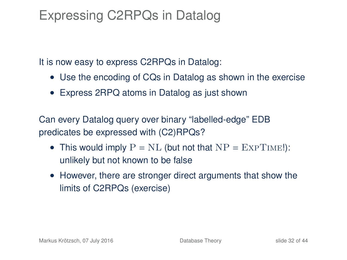## Expressing C2RPQs in Datalog

It is now easy to express C2RPQs in Datalog:

- Use the encoding of CQs in Datalog as shown in the exercise
- Express 2RPQ atoms in Datalog as just shown

Can every Datalog query over binary "labelled-edge" EDB predicates be expressed with (C2)RPQs?

- This would imply  $P = NL$  (but not that  $NP = EXPTIME!$ ): unlikely but not known to be false
- However, there are stronger direct arguments that show the limits of C2RPQs (exercise)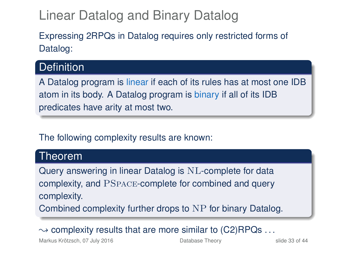## Linear Datalog and Binary Datalog

Expressing 2RPQs in Datalog requires only restricted forms of Datalog:

#### **Definition**

A Datalog program is linear if each of its rules has at most one IDB atom in its body. A Datalog program is binary if all of its IDB predicates have arity at most two.

#### The following complexity results are known:

#### Theorem

Query answering in linear Datalog is NL-complete for data complexity, and PSpace-complete for combined and query complexity.

Combined complexity further drops to NP for binary Datalog.

 $\rightarrow$  complexity results that are more similar to (C2)RPQs ...

Markus Krötzsch, 07 July 2016 **[Database Theory](#page-0-0)** Slide 33 of 44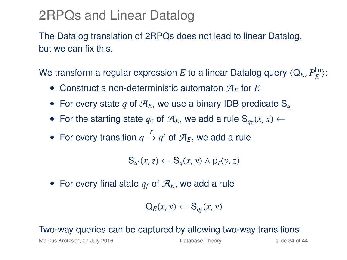### 2RPQs and Linear Datalog

The Datalog translation of 2RPQs does not lead to linear Datalog, but we can fix this.

We transform a regular expression  $E$  to a linear Datalog query  $\langle \mathsf{Q}_E, P^{\mathsf{lin}}_E \rangle$ :

- Construct a non-deterministic automaton  $\mathcal{A}_F$  for  $E$
- For every state q of  $\mathcal{A}_E$ , we use a binary IDB predicate S<sub>q</sub>
- For the starting state  $q_0$  of  $\mathcal{A}_E$ , we add a rule  $S_{q_0}(x, x) \leftarrow$
- For every transition  $q \stackrel{\iota}{\rightarrow} q'$  of  $\mathcal{A}_E$ , we add a rule

$$
\mathsf{S}_{q'}(x,z) \leftarrow \mathsf{S}_q(x,y) \land \mathsf{p}_{\ell}(y,z)
$$

• For every final state  $q_f$  of  $\mathcal{A}_E$ , we add a rule

$$
\mathsf{Q}_E(x, y) \leftarrow \mathsf{S}_{q_f}(x, y)
$$

#### Two-way queries can be captured by allowing two-way transitions.

Markus Krötzsch, 07 July 2016 **[Database Theory](#page-0-0)** Slide 34 of 44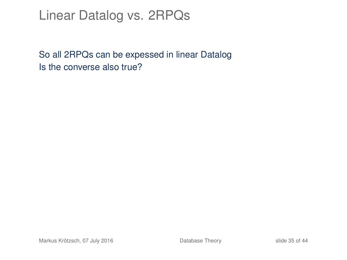### Linear Datalog vs. 2RPQs

So all 2RPQs can be expessed in linear Datalog Is the converse also true?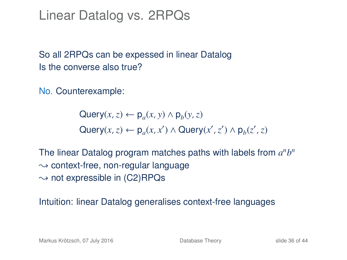#### Linear Datalog vs. 2RPQs

So all 2RPQs can be expessed in linear Datalog Is the converse also true?

No. Counterexample:

 $\mathsf{Query}(x, z) \leftarrow \mathsf{p}_a(x, y) \land \mathsf{p}_b(y, z)$  $\mathsf{Query}(x, z) \leftarrow \mathsf{p}_a(x, x') \land \mathsf{Query}(x', z') \land \mathsf{p}_b(z', z)$ 

The linear Datalog program matches paths with labels from  $a<sup>n</sup>b<sup>n</sup>$  $\rightarrow$  context-free, non-regular language  $\rightarrow$  not expressible in (C2)RPQs

Intuition: linear Datalog generalises context-free languages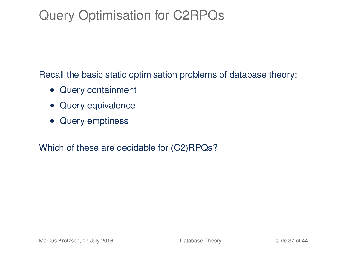## Query Optimisation for C2RPQs

Recall the basic static optimisation problems of database theory:

- Query containment
- Query equivalence
- Query emptiness

Which of these are decidable for (C2)RPQs?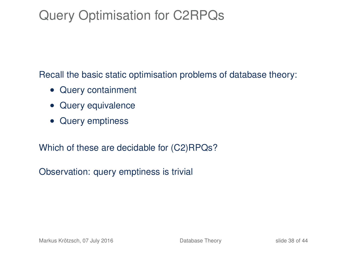## Query Optimisation for C2RPQs

Recall the basic static optimisation problems of database theory:

- Query containment
- Query equivalence
- Query emptiness

Which of these are decidable for (C2)RPQs?

Observation: query emptiness is trivial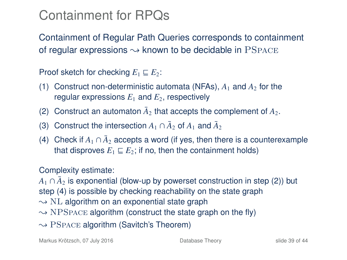## Containment for RPQs

Containment of Regular Path Queries corresponds to containment of regular expressions  $\sim$  known to be decidable in PSPACE

Proof sketch for checking  $E_1 \sqsubseteq E_2$ :

- (1) Construct non-deterministic automata (NFAs),  $A_1$  and  $A_2$  for the regular expressions  $E_1$  and  $E_2$ , respectively
- (2) Construct an automaton  $\bar{A}_2$  that accepts the complement of  $A_2$ .
- (3) Construct the intersection  $A_1 \cap \bar{A}_2$  of  $A_1$  and  $\bar{A}_2$
- (4) Check if  $A_1 \cap \bar{A}_2$  accepts a word (if yes, then there is a counterexample that disproves  $E_1 \sqsubseteq E_2$ ; if no, then the containment holds)

#### Complexity estimate:

 $A_1 \cap \bar{A}_2$  is exponential (blow-up by powerset construction in step (2)) but step (4) is possible by checking reachability on the state graph

- $\sim$  NL algorithm on an exponential state graph
- $\rightarrow$  NPSpace algorithm (construct the state graph on the fly)
- $\rightarrow$  PSPACE algorithm (Savitch's Theorem)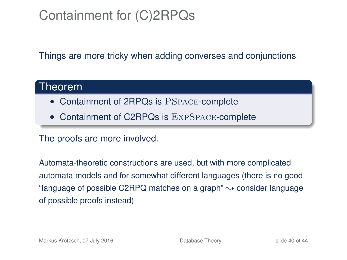## Containment for (C)2RPQs

Things are more tricky when adding converses and conjunctions

#### Theorem

- Containment of 2RPQs is PSPACE-complete
- Containment of C2RPQs is EXPSPACE-complete

The proofs are more involved.

Automata-theoretic constructions are used, but with more complicated automata models and for somewhat different languages (there is no good "language of possible C2RPQ matches on a graph"  $\rightarrow$  consider language of possible proofs instead)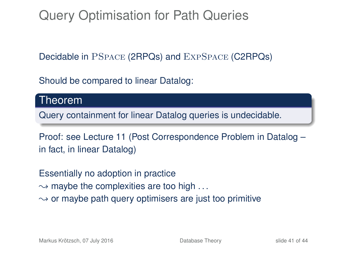Query Optimisation for Path Queries

Decidable in PSpace (2RPQs) and ExpSpace (C2RPQs)

Should be compared to linear Datalog:

Theorem

Query containment for linear Datalog queries is undecidable.

Proof: see Lecture 11 (Post Correspondence Problem in Datalog – in fact, in linear Datalog)

Essentially no adoption in practice

 $\rightarrow$  maybe the complexities are too high ...

 $\sim$  or maybe path query optimisers are just too primitive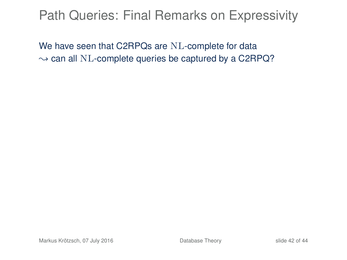### Path Queries: Final Remarks on Expressivity

We have seen that C2RPQs are NL-complete for data  $\rightarrow$  can all NL-complete queries be captured by a C2RPQ?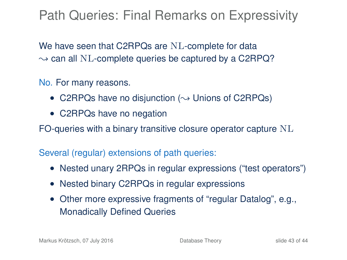## Path Queries: Final Remarks on Expressivity

We have seen that C2RPQs are NL-complete for data  $\rightarrow$  can all NL-complete queries be captured by a C2RPQ?

No. For many reasons.

- C2RPQs have no disjunction ( $\rightsquigarrow$  Unions of C2RPQs)
- C2RPQs have no negation

FO-queries with a binary transitive closure operator capture  $NL$ 

Several (regular) extensions of path queries:

- Nested unary 2RPQs in regular expressions ("test operators")
- Nested binary C2RPQs in regular expressions
- Other more expressive fragments of "regular Datalog", e.g., Monadically Defined Queries